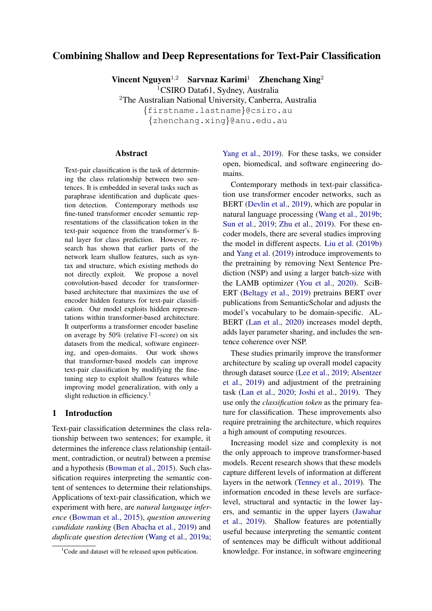# Combining Shallow and Deep Representations for Text-Pair Classification

Vincent Nguyen<sup>1,2</sup> Sarvnaz Karimi<sup>1</sup> Zhenchang Xing<sup>2</sup>

<sup>1</sup>CSIRO Data61, Sydney, Australia

<sup>2</sup>The Australian National University, Canberra, Australia {firstname.lastname}@csiro.au

{zhenchang.xing}@anu.edu.au

#### Abstract

Text-pair classification is the task of determining the class relationship between two sentences. It is embedded in several tasks such as paraphrase identification and duplicate question detection. Contemporary methods use fine-tuned transformer encoder semantic representations of the classification token in the text-pair sequence from the transformer's final layer for class prediction. However, research has shown that earlier parts of the network learn shallow features, such as syntax and structure, which existing methods do not directly exploit. We propose a novel convolution-based decoder for transformerbased architecture that maximizes the use of encoder hidden features for text-pair classification. Our model exploits hidden representations within transformer-based architecture. It outperforms a transformer encoder baseline on average by 50% (relative F1-score) on six datasets from the medical, software engineering, and open-domains. Our work shows that transformer-based models can improve text-pair classification by modifying the finetuning step to exploit shallow features while improving model generalization, with only a slight reduction in efficiency.<sup>[1](#page-0-0)</sup>

### 1 Introduction

Text-pair classification determines the class relationship between two sentences; for example, it determines the inference class relationship (entailment, contradiction, or neutral) between a premise and a hypothesis [\(Bowman et al.,](#page-8-0) [2015\)](#page-8-0). Such classification requires interpreting the semantic content of sentences to determine their relationships. Applications of text-pair classification, which we experiment with here, are *natural language inference* [\(Bowman et al.,](#page-8-0) [2015\)](#page-8-0), *question answering candidate ranking* [\(Ben Abacha et al.,](#page-8-1) [2019\)](#page-8-1) and *duplicate question detection* [\(Wang et al.,](#page-10-0) [2019a;](#page-10-0)

[Yang et al.,](#page-10-1) [2019\)](#page-10-1). For these tasks, we consider open, biomedical, and software engineering domains.

Contemporary methods in text-pair classification use transformer encoder networks, such as BERT [\(Devlin et al.,](#page-8-2) [2019\)](#page-8-2), which are popular in natural language processing [\(Wang et al.,](#page-10-2) [2019b;](#page-10-2) [Sun et al.,](#page-9-0) [2019;](#page-9-0) [Zhu et al.,](#page-10-3) [2019\)](#page-10-3). For these encoder models, there are several studies improving the model in different aspects. [Liu et al.](#page-9-1) [\(2019b\)](#page-9-1) and [Yang et al.](#page-10-1) [\(2019\)](#page-10-1) introduce improvements to the pretraining by removing Next Sentence Prediction (NSP) and using a larger batch-size with the LAMB optimizer [\(You et al.,](#page-10-4) [2020\)](#page-10-4). SciB-ERT [\(Beltagy et al.,](#page-8-3) [2019\)](#page-8-3) pretrains BERT over publications from SemanticScholar and adjusts the model's vocabulary to be domain-specific. AL-BERT [\(Lan et al.,](#page-9-2) [2020\)](#page-9-2) increases model depth, adds layer parameter sharing, and includes the sentence coherence over NSP.

These studies primarily improve the transformer architecture by scaling up overall model capacity through dataset source [\(Lee et al.,](#page-9-3) [2019;](#page-9-3) [Alsentzer](#page-8-4) [et al.,](#page-8-4) [2019\)](#page-8-4) and adjustment of the pretraining task [\(Lan et al.,](#page-9-2) [2020;](#page-9-2) [Joshi et al.,](#page-8-5) [2019\)](#page-8-5). They use only the *classification token* as the primary feature for classification. These improvements also require pretraining the architecture, which requires a high amount of computing resources.

Increasing model size and complexity is not the only approach to improve transformer-based models. Recent research shows that these models capture different levels of information at different layers in the network [\(Tenney et al.,](#page-10-5) [2019\)](#page-10-5). The information encoded in these levels are surfacelevel, structural and syntactic in the lower layers, and semantic in the upper layers [\(Jawahar](#page-8-6) [et al.,](#page-8-6) [2019\)](#page-8-6). Shallow features are potentially useful because interpreting the semantic content of sentences may be difficult without additional knowledge. For instance, in software engineering

<span id="page-0-0"></span> $1$ Code and dataset will be released upon publication.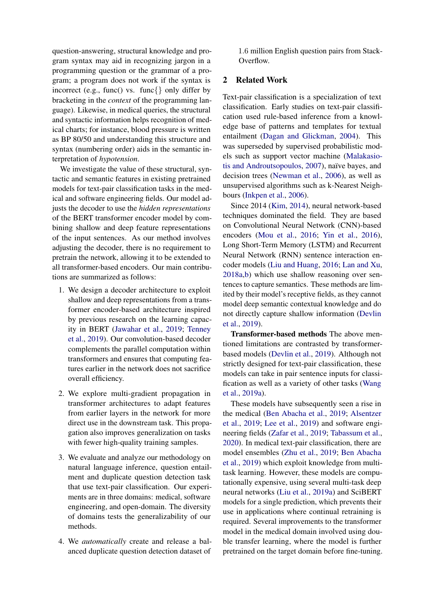question-answering, structural knowledge and program syntax may aid in recognizing jargon in a programming question or the grammar of a program; a program does not work if the syntax is incorrect (e.g., func() vs. func{} only differ by bracketing in the *context* of the programming language). Likewise, in medical queries, the structural and syntactic information helps recognition of medical charts; for instance, blood pressure is written as BP 80/50 and understanding this structure and syntax (numbering order) aids in the semantic interpretation of *hypotension*.

We investigate the value of these structural, syntactic and semantic features in existing pretrained models for text-pair classification tasks in the medical and software engineering fields. Our model adjusts the decoder to use the *hidden representations* of the BERT transformer encoder model by combining shallow and deep feature representations of the input sentences. As our method involves adjusting the decoder, there is no requirement to pretrain the network, allowing it to be extended to all transformer-based encoders. Our main contributions are summarized as follows:

- 1. We design a decoder architecture to exploit shallow and deep representations from a transformer encoder-based architecture inspired by previous research on the learning capacity in BERT [\(Jawahar et al.,](#page-8-6) [2019;](#page-8-6) [Tenney](#page-10-5) [et al.,](#page-10-5) [2019\)](#page-10-5). Our convolution-based decoder complements the parallel computation within transformers and ensures that computing features earlier in the network does not sacrifice overall efficiency.
- 2. We explore multi-gradient propagation in transformer architectures to adapt features from earlier layers in the network for more direct use in the downstream task. This propagation also improves generalization on tasks with fewer high-quality training samples.
- 3. We evaluate and analyze our methodology on natural language inference, question entailment and duplicate question detection task that use text-pair classification. Our experiments are in three domains: medical, software engineering, and open-domain. The diversity of domains tests the generalizability of our methods.
- 4. We *automatically* create and release a balanced duplicate question detection dataset of

1.6 million English question pairs from Stack-Overflow.

## 2 Related Work

Text-pair classification is a specialization of text classification. Early studies on text-pair classification used rule-based inference from a knowledge base of patterns and templates for textual entailment [\(Dagan and Glickman,](#page-8-7) [2004\)](#page-8-7). This was superseded by supervised probabilistic models such as support vector machine [\(Malakasio](#page-9-4)[tis and Androutsopoulos,](#page-9-4) [2007\)](#page-9-4), naïve bayes, and decision trees [\(Newman et al.,](#page-9-5) [2006\)](#page-9-5), as well as unsupervised algorithms such as k-Nearest Neighbours [\(Inkpen et al.,](#page-8-8) [2006\)](#page-8-8).

Since 2014 [\(Kim,](#page-9-6) [2014\)](#page-9-6), neural network-based techniques dominated the field. They are based on Convolutional Neural Network (CNN)-based encoders [\(Mou et al.,](#page-9-7) [2016;](#page-9-7) [Yin et al.,](#page-10-6) [2016\)](#page-10-6), Long Short-Term Memory (LSTM) and Recurrent Neural Network (RNN) sentence interaction encoder models [\(Liu and Huang,](#page-9-8) [2016;](#page-9-8) [Lan and Xu,](#page-9-9) [2018a](#page-9-9)[,b\)](#page-9-10) which use shallow reasoning over sentences to capture semantics. These methods are limited by their model's receptive fields, as they cannot model deep semantic contextual knowledge and do not directly capture shallow information [\(Devlin](#page-8-2) [et al.,](#page-8-2) [2019\)](#page-8-2).

Transformer-based methods The above mentioned limitations are contrasted by transformerbased models [\(Devlin et al.,](#page-8-2) [2019\)](#page-8-2). Although not strictly designed for text-pair classification, these models can take in pair sentence inputs for classification as well as a variety of other tasks [\(Wang](#page-10-0) [et al.,](#page-10-0) [2019a\)](#page-10-0).

These models have subsequently seen a rise in the medical [\(Ben Abacha et al.,](#page-8-1) [2019;](#page-8-1) [Alsentzer](#page-8-4) [et al.,](#page-8-4) [2019;](#page-8-4) [Lee et al.,](#page-9-3) [2019\)](#page-9-3) and software engineering fields [\(Zafar et al.,](#page-10-7) [2019;](#page-10-7) [Tabassum et al.,](#page-10-8) [2020\)](#page-10-8). In medical text-pair classification, there are model ensembles [\(Zhu et al.,](#page-10-3) [2019;](#page-10-3) [Ben Abacha](#page-8-1) [et al.,](#page-8-1) [2019\)](#page-8-1) which exploit knowledge from multitask learning. However, these models are computationally expensive, using several multi-task deep neural networks [\(Liu et al.,](#page-9-11) [2019a\)](#page-9-11) and SciBERT models for a single prediction, which prevents their use in applications where continual retraining is required. Several improvements to the transformer model in the medical domain involved using double transfer learning, where the model is further pretrained on the target domain before fine-tuning.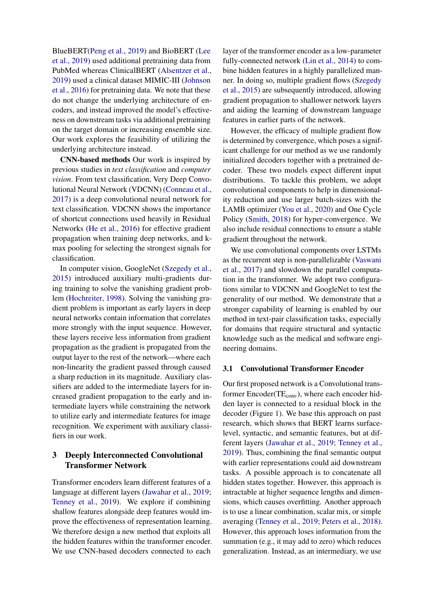BlueBERT[\(Peng et al.,](#page-9-12) [2019\)](#page-9-12) and BioBERT [\(Lee](#page-9-3) [et al.,](#page-9-3) [2019\)](#page-9-3) used additional pretraining data from PubMed whereas ClinicalBERT [\(Alsentzer et al.,](#page-8-4) [2019\)](#page-8-4) used a clinical dataset MIMIC-III [\(Johnson](#page-8-9) [et al.,](#page-8-9) [2016\)](#page-8-9) for pretraining data. We note that these do not change the underlying architecture of encoders, and instead improved the model's effectiveness on downstream tasks via additional pretraining on the target domain or increasing ensemble size. Our work explores the feasibility of utilizing the underlying architecture instead.

CNN-based methods Our work is inspired by previous studies in *text classification* and *computer vision*. From text classification, Very Deep Convolutional Neural Network (VDCNN) [\(Conneau et al.,](#page-8-10) [2017\)](#page-8-10) is a deep convolutional neural network for text classification. VDCNN shows the importance of shortcut connections used heavily in Residual Networks [\(He et al.,](#page-8-11) [2016\)](#page-8-11) for effective gradient propagation when training deep networks, and kmax pooling for selecting the strongest signals for classification.

In computer vision, GoogleNet [\(Szegedy et al.,](#page-9-13) [2015\)](#page-9-13) introduced auxiliary multi-gradients during training to solve the vanishing gradient problem [\(Hochreiter,](#page-8-12) [1998\)](#page-8-12). Solving the vanishing gradient problem is important as early layers in deep neural networks contain information that correlates more strongly with the input sequence. However, these layers receive less information from gradient propagation as the gradient is propagated from the output layer to the rest of the network—where each non-linearity the gradient passed through caused a sharp reduction in its magnitude. Auxiliary classifiers are added to the intermediate layers for increased gradient propagation to the early and intermediate layers while constraining the network to utilize early and intermediate features for image recognition. We experiment with auxiliary classifiers in our work.

## 3 Deeply Interconnected Convolutional Transformer Network

Transformer encoders learn different features of a language at different layers [\(Jawahar et al.,](#page-8-6) [2019;](#page-8-6) [Tenney et al.,](#page-10-5) [2019\)](#page-10-5). We explore if combining shallow features alongside deep features would improve the effectiveness of representation learning. We therefore design a new method that exploits all the hidden features within the transformer encoder. We use CNN-based decoders connected to each

layer of the transformer encoder as a low-parameter fully-connected network [\(Lin et al.,](#page-9-14) [2014\)](#page-9-14) to combine hidden features in a highly parallelized manner. In doing so, multiple gradient flows [\(Szegedy](#page-9-13) [et al.,](#page-9-13) [2015\)](#page-9-13) are subsequently introduced, allowing gradient propagation to shallower network layers and aiding the learning of downstream language features in earlier parts of the network.

However, the efficacy of multiple gradient flow is determined by convergence, which poses a significant challenge for our method as we use randomly initialized decoders together with a pretrained decoder. These two models expect different input distributions. To tackle this problem, we adopt convolutional components to help in dimensionality reduction and use larger batch-sizes with the LAMB optimizer [\(You et al.,](#page-10-4) [2020\)](#page-10-4) and One Cycle Policy [\(Smith,](#page-9-15) [2018\)](#page-9-15) for hyper-convergence. We also include residual connections to ensure a stable gradient throughout the network.

We use convolutional components over LSTMs as the recurrent step is non-parallelizable [\(Vaswani](#page-10-9) [et al.,](#page-10-9) [2017\)](#page-10-9) and slowdown the parallel computation in the transformer. We adopt two configurations similar to VDCNN and GoogleNet to test the generality of our method. We demonstrate that a stronger capability of learning is enabled by our method in text-pair classification tasks, especially for domains that require structural and syntactic knowledge such as the medical and software engineering domains.

#### 3.1 Convolutional Transformer Encoder

Our first proposed network is a Convolutional transformer  $Encoder(TE_{conv})$ , where each encoder hidden layer is connected to a residual block in the decoder (Figure [1\)](#page-3-0). We base this approach on past research, which shows that BERT learns surfacelevel, syntactic, and semantic features, but at different layers [\(Jawahar et al.,](#page-8-6) [2019;](#page-8-6) [Tenney et al.,](#page-10-5) [2019\)](#page-10-5). Thus, combining the final semantic output with earlier representations could aid downstream tasks. A possible approach is to concatenate all hidden states together. However, this approach is intractable at higher sequence lengths and dimensions, which causes overfitting. Another approach is to use a linear combination, scalar mix, or simple averaging [\(Tenney et al.,](#page-10-5) [2019;](#page-10-5) [Peters et al.,](#page-9-16) [2018\)](#page-9-16). However, this approach loses information from the summation (e.g., it may add to zero) which reduces generalization. Instead, as an intermediary, we use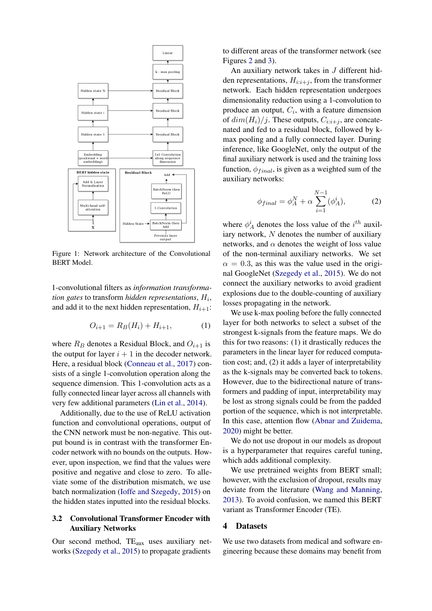<span id="page-3-0"></span>

Figure 1: Network architecture of the Convolutional BERT Model.

1-convolutional filters as *information transformation gates* to transform *hidden representations*,  $H_i$ , and add it to the next hidden representation,  $H_{i+1}$ :

$$
O_{i+1} = R_B(H_i) + H_{i+1},\tag{1}
$$

where  $R_B$  denotes a Residual Block, and  $O_{i+1}$  is the output for layer  $i + 1$  in the decoder network. Here, a residual block [\(Conneau et al.,](#page-8-10) [2017\)](#page-8-10) consists of a single 1-convolution operation along the sequence dimension. This 1-convolution acts as a fully connected linear layer across all channels with very few additional parameters [\(Lin et al.,](#page-9-14) [2014\)](#page-9-14).

Additionally, due to the use of ReLU activation function and convolutional operations, output of the CNN network must be non-negative. This output bound is in contrast with the transformer Encoder network with no bounds on the outputs. However, upon inspection, we find that the values were positive and negative and close to zero. To alleviate some of the distribution mismatch, we use batch normalization [\(Ioffe and Szegedy,](#page-8-13) [2015\)](#page-8-13) on the hidden states inputted into the residual blocks.

## 3.2 Convolutional Transformer Encoder with Auxiliary Networks

Our second method,  $TE_{aux}$  uses auxiliary networks [\(Szegedy et al.,](#page-9-13) [2015\)](#page-9-13) to propagate gradients

to different areas of the transformer network (see Figures [2](#page-4-0) and [3\)](#page-4-1).

An auxiliary network takes in J different hidden representations,  $H_{i:i+j}$ , from the transformer network. Each hidden representation undergoes dimensionality reduction using a 1-convolution to produce an output,  $C_i$ , with a feature dimension of  $dim(H_i)/j$ . These outputs,  $C_{i:i+j}$ , are concatenated and fed to a residual block, followed by kmax pooling and a fully connected layer. During inference, like GoogleNet, only the output of the final auxiliary network is used and the training loss function,  $\phi_{final}$ , is given as a weighted sum of the auxiliary networks:

$$
\phi_{final} = \phi_A^N + \alpha \sum_{i=1}^{N-1} (\phi_A^i), \tag{2}
$$

where  $\phi_A^i$  denotes the loss value of the  $i^{th}$  auxiliary network, N denotes the number of auxiliary networks, and  $\alpha$  denotes the weight of loss value of the non-terminal auxiliary networks. We set  $\alpha = 0.3$ , as this was the value used in the original GoogleNet [\(Szegedy et al.,](#page-9-13) [2015\)](#page-9-13). We do not connect the auxiliary networks to avoid gradient explosions due to the double-counting of auxiliary losses propagating in the network.

We use k-max pooling before the fully connected layer for both networks to select a subset of the strongest k-signals from the feature maps. We do this for two reasons: (1) it drastically reduces the parameters in the linear layer for reduced computation cost; and, (2) it adds a layer of interpretability as the k-signals may be converted back to tokens. However, due to the bidirectional nature of transformers and padding of input, interpretability may be lost as strong signals could be from the padded portion of the sequence, which is not interpretable. In this case, attention flow [\(Abnar and Zuidema,](#page-8-14) [2020\)](#page-8-14) might be better.

We do not use dropout in our models as dropout is a hyperparameter that requires careful tuning, which adds additional complexity.

We use pretrained weights from BERT small; however, with the exclusion of dropout, results may deviate from the literature [\(Wang and Manning,](#page-10-10) [2013\)](#page-10-10). To avoid confusion, we named this BERT variant as Transformer Encoder (TE).

### 4 Datasets

We use two datasets from medical and software engineering because these domains may benefit from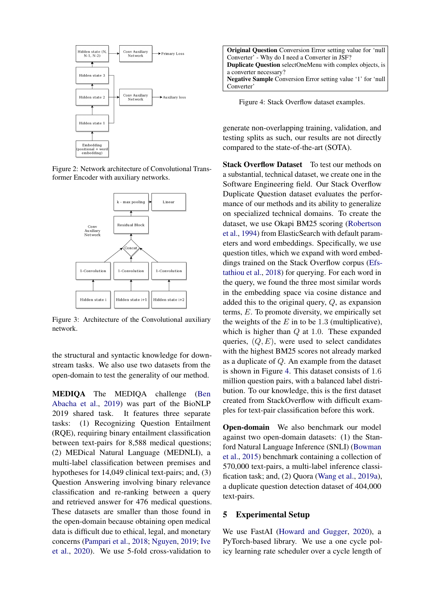<span id="page-4-0"></span>

Figure 2: Network architecture of Convolutional Transformer Encoder with auxiliary networks.

<span id="page-4-1"></span>

Figure 3: Architecture of the Convolutional auxiliary network.

the structural and syntactic knowledge for downstream tasks. We also use two datasets from the open-domain to test the generality of our method.

MEDIQA The MEDIQA challenge [\(Ben](#page-8-1) [Abacha et al.,](#page-8-1) [2019\)](#page-8-1) was part of the BioNLP 2019 shared task. It features three separate tasks: (1) Recognizing Question Entailment (RQE), requiring binary entailment classification between text-pairs for 8,588 medical questions; (2) MEDical Natural Language (MEDNLI), a multi-label classification between premises and hypotheses for 14,049 clinical text-pairs; and, (3) Question Answering involving binary relevance classification and re-ranking between a query and retrieved answer for 476 medical questions. These datasets are smaller than those found in the open-domain because obtaining open medical data is difficult due to ethical, legal, and monetary concerns [\(Pampari et al.,](#page-9-17) [2018;](#page-9-17) [Nguyen,](#page-9-18) [2019;](#page-9-18) [Ive](#page-8-15) [et al.,](#page-8-15) [2020\)](#page-8-15). We use 5-fold cross-validation to

<span id="page-4-2"></span>

Figure 4: Stack Overflow dataset examples.

generate non-overlapping training, validation, and testing splits as such, our results are not directly compared to the state-of-the-art (SOTA).

Stack Overflow Dataset To test our methods on a substantial, technical dataset, we create one in the Software Engineering field. Our Stack Overflow Duplicate Question dataset evaluates the performance of our methods and its ability to generalize on specialized technical domains. To create the dataset, we use Okapi BM25 scoring [\(Robertson](#page-9-19) [et al.,](#page-9-19) [1994\)](#page-9-19) from ElasticSearch with default parameters and word embeddings. Specifically, we use question titles, which we expand with word embeddings trained on the Stack Overflow corpus [\(Efs](#page-8-16)[tathiou et al.,](#page-8-16) [2018\)](#page-8-16) for querying. For each word in the query, we found the three most similar words in the embedding space via cosine distance and added this to the original query, Q, as expansion terms, E. To promote diversity, we empirically set the weights of the  $E$  in to be 1.3 (multiplicative), which is higher than  $Q$  at 1.0. These expanded queries,  $(Q, E)$ , were used to select candidates with the highest BM25 scores not already marked as a duplicate of Q. An example from the dataset is shown in Figure [4.](#page-4-2) This dataset consists of 1.6 million question pairs, with a balanced label distribution. To our knowledge, this is the first dataset created from StackOverflow with difficult examples for text-pair classification before this work.

Open-domain We also benchmark our model against two open-domain datasets: (1) the Stanford Natural Language Inference (SNLI) [\(Bowman](#page-8-0) [et al.,](#page-8-0) [2015\)](#page-8-0) benchmark containing a collection of 570,000 text-pairs, a multi-label inference classification task; and, (2) Quora [\(Wang et al.,](#page-10-0) [2019a\)](#page-10-0), a duplicate question detection dataset of 404,000 text-pairs.

### 5 Experimental Setup

We use FastAI [\(Howard and Gugger,](#page-8-17) [2020\)](#page-8-17), a PyTorch-based library. We use a one cycle policy learning rate scheduler over a cycle length of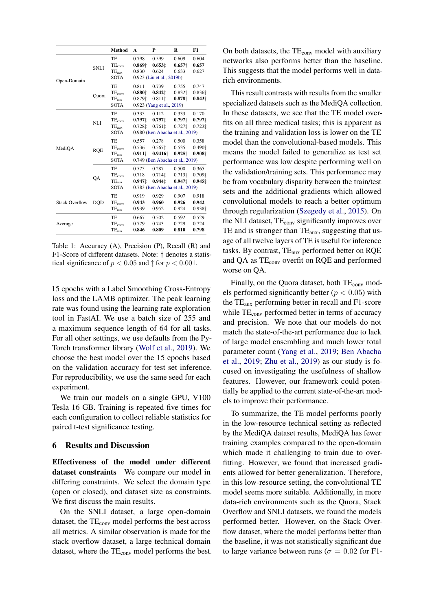<span id="page-5-0"></span>

|                       |             | <b>Method</b>                                                           | A                                  | P                                                                         | R                                     | F1                             |
|-----------------------|-------------|-------------------------------------------------------------------------|------------------------------------|---------------------------------------------------------------------------|---------------------------------------|--------------------------------|
| Open-Domain           | <b>SNLI</b> | TE<br><b>TEconv</b><br>$TE_{aux}$<br><b>SOTA</b>                        | 0.798<br>$0.869 +$<br>0.830        | 0.599<br>0.6531<br>0.624<br>0.923 (Liu et al., 2019b)                     | 0.609<br>$0.657+$<br>0.633            | 0.604<br>0.657<br>0.627        |
|                       | Ouora       | TE<br>TE <sub>conv</sub><br>$\mathrm{TE}_{\mathrm{aux}}$<br><b>SOTA</b> | 0.811<br>0.8801<br>0.8791          | 0.739<br>0.8421<br>0.811<br>0.923 (Yang et al., 2019)                     | 0.755<br>0.8321<br>0.8781             | 0.747<br>0.8361<br>0.8431      |
| MediOA                | NLI         | TE<br><b>TEconv</b><br><b>TE</b> <sub>aux</sub><br><b>SOTA</b>          | 0.335<br>0.7971<br>0.7281          | 0.112<br>0.7971<br>$0.761 \text{ }$<br>0.980 (Ben Abacha et al., 2019)    | 0.333<br>0.7971<br>0.7271             | 0.170<br>0.7971<br>0.7231      |
|                       | <b>RQE</b>  | TE<br>TE <sub>conv</sub><br>$\mathrm{TE}_{\mathrm{aux}}$<br><b>SOTA</b> | 0.557<br>0.536<br>$0.911\dagger$   | 0.278<br>0.567 <sup>†</sup><br>0.94161<br>0.749 (Ben Abacha et al., 2019) | 0.500<br>0.535<br>0.925               | 0.358<br>0.490 $\pm$<br>0.9081 |
|                       | QA          | <b>TE</b><br>TE <sub>conv</sub><br>$TE_{aux}$<br><b>SOTA</b>            | 0.575<br>0.718<br>$0.947 \ddagger$ | 0.287<br>0.714 <sup>†</sup><br>0.9441<br>0.783 (Ben Abacha et al., 2019)  | 0.500<br>0.713 <sup>+</sup><br>0.9471 | 0.365<br>0.7091<br>0.9451      |
| <b>Stack Overflow</b> | DQD         | TE<br><b>TEconv</b><br><b>TE</b> <sub>aux</sub>                         | 0.919<br>0.943<br>0.939            | 0.929<br>0.960<br>0.952                                                   | 0.907<br>0.926<br>0.924               | 0.918<br>0.942<br>0.9381       |
| Average               |             | TE<br>$TE_{conv}$<br>$TE_{aux}$                                         | 0.667<br>0.779<br>0.846            | 0.502<br>0.743<br>0.809                                                   | 0.592<br>0.729<br>0.810               | 0.529<br>0.724<br>0.798        |

Table 1: Accuracy (A), Precision (P), Recall (R) and F1-Score of different datasets. Note: † denotes a statistical significance of  $p < 0.05$  and  $\ddagger$  for  $p < 0.001$ .

15 epochs with a Label Smoothing Cross-Entropy loss and the LAMB optimizer. The peak learning rate was found using the learning rate exploration tool in FastAI. We use a batch size of 255 and a maximum sequence length of 64 for all tasks. For all other settings, we use defaults from the Py-Torch transformer library [\(Wolf et al.,](#page-10-11) [2019\)](#page-10-11). We choose the best model over the 15 epochs based on the validation accuracy for test set inference. For reproducibility, we use the same seed for each experiment.

We train our models on a single GPU, V100 Tesla 16 GB. Training is repeated five times for each configuration to collect reliable statistics for paired t-test significance testing.

#### 6 Results and Discussion

Effectiveness of the model under different dataset constraints We compare our model in differing constraints. We select the domain type (open or closed), and dataset size as constraints. We first discuss the main results.

On the SNLI dataset, a large open-domain dataset, the  $TE<sub>conv</sub>$  model performs the best across all metrics. A similar observation is made for the stack overflow dataset, a large technical domain dataset, where the  $TE<sub>conv</sub>$  model performs the best.

On both datasets, the TE<sub>conv</sub> model with auxiliary networks also performs better than the baseline. This suggests that the model performs well in datarich environments.

This result contrasts with results from the smaller specialized datasets such as the MediQA collection. In these datasets, we see that the TE model overfits on all three medical tasks; this is apparent as the training and validation loss is lower on the TE model than the convolutional-based models. This means the model failed to generalize as test set performance was low despite performing well on the validation/training sets. This performance may be from vocabulary disparity between the train/test sets and the additional gradients which allowed convolutional models to reach a better optimum through regularization [\(Szegedy et al.,](#page-9-13) [2015\)](#page-9-13). On the NLI dataset,  $TE_{conv}$  significantly improves over TE and is stronger than  $TE_{aux}$ , suggesting that usage of all twelve layers of TE is useful for inference tasks. By contrast,  $TE_{aux}$  performed better on RQE and QA as  $TE_{conv}$  overfit on RQE and performed worse on QA.

Finally, on the Quora dataset, both TE<sub>conv</sub> models performed significantly better ( $p < 0.05$ ) with the  $TE_{\text{aux}}$  performing better in recall and  $F1$ -score while TE<sub>conv</sub> performed better in terms of accuracy and precision. We note that our models do not match the state-of-the-art performance due to lack of large model ensembling and much lower total parameter count [\(Yang et al.,](#page-10-1) [2019;](#page-10-1) [Ben Abacha](#page-8-1) [et al.,](#page-8-1) [2019;](#page-8-1) [Zhu et al.,](#page-10-3) [2019\)](#page-10-3) as our study is focused on investigating the usefulness of shallow features. However, our framework could potentially be applied to the current state-of-the-art models to improve their performance.

To summarize, the TE model performs poorly in the low-resource technical setting as reflected by the MediQA dataset results, MediQA has fewer training examples compared to the open-domain which made it challenging to train due to overfitting. However, we found that increased gradients allowed for better generalization. Therefore, in this low-resource setting, the convolutional TE model seems more suitable. Additionally, in more data-rich environments such as the Quora, Stack Overflow and SNLI datasets, we found the models performed better. However, on the Stack Overflow dataset, where the model performs better than the baseline, it was not statistically significant due to large variance between runs ( $\sigma = 0.02$  for F1-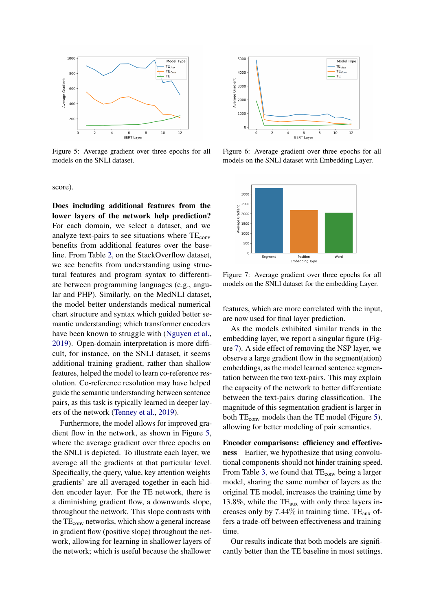<span id="page-6-0"></span>

Figure 5: Average gradient over three epochs for all models on the SNLI dataset.

score).

Does including additional features from the lower layers of the network help prediction? For each domain, we select a dataset, and we analyze text-pairs to see situations where  $TE<sub>conv</sub>$ benefits from additional features over the baseline. From Table [2,](#page-7-0) on the StackOverflow dataset, we see benefits from understanding using structural features and program syntax to differentiate between programming languages (e.g., angular and PHP). Similarly, on the MedNLI dataset, the model better understands medical numerical chart structure and syntax which guided better semantic understanding; which transformer encoders have been known to struggle with [\(Nguyen et al.,](#page-9-20) [2019\)](#page-9-20). Open-domain interpretation is more difficult, for instance, on the SNLI dataset, it seems additional training gradient, rather than shallow features, helped the model to learn co-reference resolution. Co-reference resolution may have helped guide the semantic understanding between sentence pairs, as this task is typically learned in deeper layers of the network [\(Tenney et al.,](#page-10-5) [2019\)](#page-10-5).

Furthermore, the model allows for improved gradient flow in the network, as shown in Figure [5,](#page-6-0) where the average gradient over three epochs on the SNLI is depicted. To illustrate each layer, we average all the gradients at that particular level. Specifically, the query, value, key attention weights gradients' are all averaged together in each hidden encoder layer. For the TE network, there is a diminishing gradient flow, a downwards slope, throughout the network. This slope contrasts with the  $TE<sub>conv</sub>$  networks, which show a general increase in gradient flow (positive slope) throughout the network, allowing for learning in shallower layers of the network; which is useful because the shallower



Figure 6: Average gradient over three epochs for all models on the SNLI dataset with Embedding Layer.

<span id="page-6-1"></span>

Figure 7: Average gradient over three epochs for all models on the SNLI dataset for the embedding Layer.

features, which are more correlated with the input, are now used for final layer prediction.

As the models exhibited similar trends in the embedding layer, we report a singular figure (Figure [7\)](#page-6-1). A side effect of removing the NSP layer, we observe a large gradient flow in the segment(ation) embeddings, as the model learned sentence segmentation between the two text-pairs. This may explain the capacity of the network to better differentiate between the text-pairs during classification. The magnitude of this segmentation gradient is larger in both  $TE_{conv}$  models than the TE model (Figure [5\)](#page-6-0), allowing for better modeling of pair semantics.

Encoder comparisons: efficiency and effectiveness Earlier, we hypothesize that using convolutional components should not hinder training speed. From Table [3,](#page-7-1) we found that TE<sub>conv</sub> being a larger model, sharing the same number of layers as the original TE model, increases the training time by 13.8%, while the  $TE_{aux}$  with only three layers increases only by  $7.44\%$  in training time. TE<sub>aux</sub> offers a trade-off between effectiveness and training time.

Our results indicate that both models are significantly better than the TE baseline in most settings.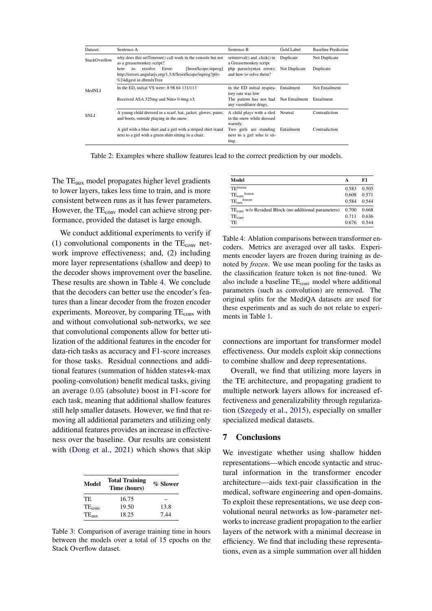<span id="page-7-0"></span>

| Dataset              | Sentence A                                                                                                                                               | Sentence B                                                        | Gold Label    | <b>Baseline Prediction</b> |  |
|----------------------|----------------------------------------------------------------------------------------------------------------------------------------------------------|-------------------------------------------------------------------|---------------|----------------------------|--|
| <b>StackOverflow</b> | why does this setTimeout() call work in the console but not<br>as a greasemonkey script?                                                                 | setinterval() and .click() in<br>a Greasemonkey script            | Duplicate     | Not Duplicate              |  |
|                      | [\$rootScope:inprog]<br>resolve<br>Error:<br>how<br>$f_{\Omega}$<br>http://errors.angularjs.org/1.5.8/\$rootScope/inprog?p0=<br>%24 digest in dhtmlxTree | php parse/syntax errors;<br>and how to solve them?                | Not Duplicate | Duplicate                  |  |
| MedNLI               | In the ED, initial VS were: 8 98 64 131/113                                                                                                              | in the ED initial respira-<br>tory rate was low                   | Entailment    | Not Entailment             |  |
|                      | Received ASA 325mg and Nitro 0.4mg x3.                                                                                                                   | The patient has not had Not Entailment<br>any vasodilator drugs.  |               | Entailment                 |  |
| SNLI.                | A young child dressed in a scarf, hat, jacket, gloves, pants,<br>and boots, outside playing in the snow.                                                 | A child plays with a sled<br>in the snow while dressed<br>warmly. | Neutral       | Contradiction              |  |
|                      | A girl with a blue shirt and a girl with a striped shirt stand<br>next to a girl with a green shirt sitting in a chair.                                  | Two girls are standing<br>next to a girl who is sit-<br>ting.     | Entailment    | Contradiction              |  |

Table 2: Examples where shallow features lead to the correct prediction by our models.

The TE<sub>aux</sub> model propagates higher level gradients to lower layers, takes less time to train, and is more consistent between runs as it has fewer parameters. However, the TE<sub>conv</sub> model can achieve strong performance, provided the dataset is large enough.

We conduct additional experiments to verify if (1) convolutional components in the  $TE_{conv}$  network improve effectiveness; and, (2) including more layer representations (shallow and deep) to the decoder shows improvement over the baseline. These results are shown in Table [4.](#page-7-2) We conclude that the decoders can better use the encoder's features than a linear decoder from the frozen encoder experiments. Moreover, by comparing  $TE<sub>conv</sub>$  with and without convolutional sub-networks, we see that convolutional components allow for better utilization of the additional features in the encoder for data-rich tasks as accuracy and F1-score increases for those tasks. Residual connections and additional features (summation of hidden states+k-max pooling-convolution) benefit medical tasks, giving an average 0.05 (absolute) boost in F1-score for each task, meaning that additional shallow features still help smaller datasets. However, we find that removing all additional parameters and utilizing only additional features provides an increase in effectiveness over the baseline. Our results are consistent with [\(Dong et al.,](#page-8-18) [2021\)](#page-8-18) which shows that skip

<span id="page-7-1"></span>

| Model       | <b>Total Training</b><br>Time (hours) | % Slower |  |  |
|-------------|---------------------------------------|----------|--|--|
| TE          | 16.75                                 |          |  |  |
| $TE_{conv}$ | 19.50                                 | 13.8     |  |  |
| $TE_{aux}$  | 18.25                                 | 7.44     |  |  |

Table 3: Comparison of average training time in hours between the models over a total of 15 epochs on the Stack Overflow dataset.

<span id="page-7-2"></span>

| Model                                                            | А     | F1    |
|------------------------------------------------------------------|-------|-------|
| TFfrozen                                                         | 0.583 | 0.505 |
| frozen<br>$TE_{conv}$                                            | 0.608 | 0.571 |
| frozen<br>TE <sub>aux</sub>                                      | 0.584 | 0.544 |
| TE <sub>cony</sub> w/o Residual Block (no additional parameters) | 0.700 | 0.668 |
| $TE_{conv}$                                                      | 0.711 | 0.636 |
| TF.                                                              | 0.676 | 0.544 |

Table 4: Ablation comparisons between transformer encoders. Metrics are averaged over all tasks. Experiments encoder layers are frozen during training as denoted by *frozen*. We use mean pooling for the tasks as the classification feature token is not fine-tuned. We also include a baseline TE<sub>conv</sub> model where additional parameters (such as convolution) are removed. The original splits for the MediQA datasets are used for these experiments and as such do not relate to experiments in Table [1.](#page-5-0)

connections are important for transformer model effectiveness. Our models exploit skip connections to combine shallow and deep representations.

Overall, we find that utilizing more layers in the TE architecture, and propagating gradient to multiple network layers allows for increased effectiveness and generalizability through regularization [\(Szegedy et al.,](#page-9-13) [2015\)](#page-9-13), especially on smaller specialized medical datasets.

#### 7 Conclusions

We investigate whether using shallow hidden representations—which encode syntactic and structural information in the transformer encoder architecture—aids text-pair classification in the medical, software engineering and open-domains. To exploit these representations, we use deep convolutional neural networks as low-parameter networks to increase gradient propagation to the earlier layers of the network with a minimal decrease in efficiency. We find that including these representations, even as a simple summation over all hidden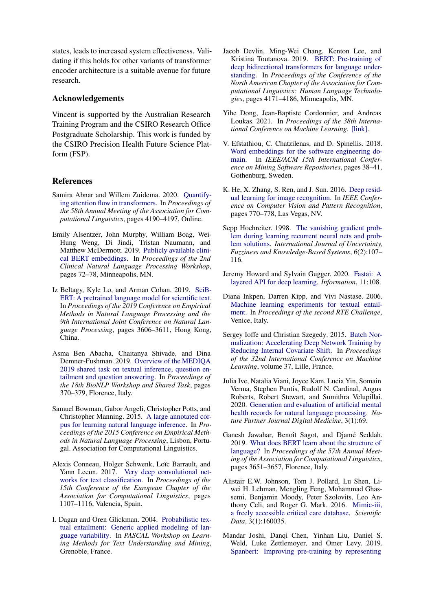states, leads to increased system effectiveness. Validating if this holds for other variants of transformer encoder architecture is a suitable avenue for future research.

#### Acknowledgements

Vincent is supported by the Australian Research Training Program and the CSIRO Research Office Postgraduate Scholarship. This work is funded by the CSIRO Precision Health Future Science Platform (FSP).

#### References

- <span id="page-8-14"></span>Samira Abnar and Willem Zuidema. 2020. [Quantify](https://doi.org/10.18653/v1/2020.acl-main.385)[ing attention flow in transformers.](https://doi.org/10.18653/v1/2020.acl-main.385) In *Proceedings of the 58th Annual Meeting of the Association for Computational Linguistics*, pages 4190–4197, Online.
- <span id="page-8-4"></span>Emily Alsentzer, John Murphy, William Boag, Wei-Hung Weng, Di Jindi, Tristan Naumann, and Matthew McDermott. 2019. [Publicly available clini](https://doi.org/10.18653/v1/W19-1909)[cal BERT embeddings.](https://doi.org/10.18653/v1/W19-1909) In *Proceedings of the 2nd Clinical Natural Language Processing Workshop*, pages 72–78, Minneapolis, MN.
- <span id="page-8-3"></span>Iz Beltagy, Kyle Lo, and Arman Cohan. 2019. [SciB-](https://doi.org/10.18653/v1/D19-1371)[ERT: A pretrained language model for scientific text.](https://doi.org/10.18653/v1/D19-1371) In *Proceedings of the 2019 Conference on Empirical Methods in Natural Language Processing and the 9th International Joint Conference on Natural Language Processing*, pages 3606–3611, Hong Kong, China.
- <span id="page-8-1"></span>Asma Ben Abacha, Chaitanya Shivade, and Dina Demner-Fushman. 2019. [Overview of the MEDIQA](https://doi.org/10.18653/v1/W19-5039) [2019 shared task on textual inference, question en](https://doi.org/10.18653/v1/W19-5039)[tailment and question answering.](https://doi.org/10.18653/v1/W19-5039) In *Proceedings of the 18th BioNLP Workshop and Shared Task*, pages 370–379, Florence, Italy.
- <span id="page-8-0"></span>Samuel Bowman, Gabor Angeli, Christopher Potts, and Christopher Manning. 2015. [A large annotated cor](http://nlp.stanford.edu/pubs/snli_paper.pdf)[pus for learning natural language inference.](http://nlp.stanford.edu/pubs/snli_paper.pdf) In *Proceedings of the 2015 Conference on Empirical Methods in Natural Language Processing*, Lisbon, Portugal. Association for Computational Linguistics.
- <span id="page-8-10"></span>Alexis Conneau, Holger Schwenk, Loïc Barrault, and Yann Lecun. 2017. [Very deep convolutional net](https://www.aclweb.org/anthology/E17-1104)[works for text classification.](https://www.aclweb.org/anthology/E17-1104) In *Proceedings of the 15th Conference of the European Chapter of the Association for Computational Linguistics*, pages 1107–1116, Valencia, Spain.
- <span id="page-8-7"></span>I. Dagan and Oren Glickman. 2004. [Probabilistic tex](http://www2.denizyuret.com/ref/dagan/dagan_glickman_pascal_2004.pdf)[tual entailment: Generic applied modeling of lan](http://www2.denizyuret.com/ref/dagan/dagan_glickman_pascal_2004.pdf)[guage variability.](http://www2.denizyuret.com/ref/dagan/dagan_glickman_pascal_2004.pdf) In *PASCAL Workshop on Learning Methods for Text Understanding and Mining*, Grenoble, France.
- <span id="page-8-2"></span>Jacob Devlin, Ming-Wei Chang, Kenton Lee, and Kristina Toutanova. 2019. [BERT: Pre-training of](https://doi.org/10.18653/v1/N19-1423) [deep bidirectional transformers for language under](https://doi.org/10.18653/v1/N19-1423)[standing.](https://doi.org/10.18653/v1/N19-1423) In *Proceedings of the Conference of the North American Chapter of the Association for Computational Linguistics: Human Language Technologies*, pages 4171–4186, Minneapolis, MN.
- <span id="page-8-18"></span>Yihe Dong, Jean-Baptiste Cordonnier, and Andreas Loukas. 2021. In *Proceedings of the 38th International Conference on Machine Learning*. [\[link\].](http://proceedings.mlr.press/v139/dong21a/dong21a.pdf)
- <span id="page-8-16"></span>V. Efstathiou, C. Chatzilenas, and D. Spinellis. 2018. [Word embeddings for the software engineering do](https://ieeexplore.ieee.org/document/8595174)[main.](https://ieeexplore.ieee.org/document/8595174) In *IEEE/ACM 15th International Conference on Mining Software Repositories*, pages 38–41, Gothenburg, Sweden.
- <span id="page-8-11"></span>K. He, X. Zhang, S. Ren, and J. Sun. 2016. [Deep resid](https://ieeexplore.ieee.org/stamp/stamp.jsp?arnumber=7780459)[ual learning for image recognition.](https://ieeexplore.ieee.org/stamp/stamp.jsp?arnumber=7780459) In *IEEE Conference on Computer Vision and Pattern Recognition*, pages 770–778, Las Vegas, NV.
- <span id="page-8-12"></span>Sepp Hochreiter. 1998. [The vanishing gradient prob](https://doi.org/10.1142/S0218488598000094)[lem during learning recurrent neural nets and prob](https://doi.org/10.1142/S0218488598000094)[lem solutions.](https://doi.org/10.1142/S0218488598000094) *International Journal of Uncertainty, Fuzziness and Knowledge-Based Systems*, 6(2):107– 116.
- <span id="page-8-17"></span>Jeremy Howard and Sylvain Gugger. 2020. [Fastai: A](https://doi.org/10.3390/info11020108) [layered API for deep learning.](https://doi.org/10.3390/info11020108) *Information*, 11:108.
- <span id="page-8-8"></span>Diana Inkpen, Darren Kipp, and Vivi Nastase. 2006. [Machine learning experiments for textual entail](http://citeseerx.ist.psu.edu/viewdoc/download?doi=10.1.1.596.8949&rep=rep1&type=pdf)[ment.](http://citeseerx.ist.psu.edu/viewdoc/download?doi=10.1.1.596.8949&rep=rep1&type=pdf) In *Proceedings of the second RTE Challenge*, Venice, Italy.
- <span id="page-8-13"></span>Sergey Ioffe and Christian Szegedy. 2015. [Batch Nor](http://proceedings.mlr.press/v37/ioffe15.pdf)[malization: Accelerating Deep Network Training by](http://proceedings.mlr.press/v37/ioffe15.pdf) [Reducing Internal Covariate Shift.](http://proceedings.mlr.press/v37/ioffe15.pdf) In *Proceedings of the 32nd International Conference on Machine Learning*, volume 37, Lille, France.
- <span id="page-8-15"></span>Julia Ive, Natalia Viani, Joyce Kam, Lucia Yin, Somain Verma, Stephen Puntis, Rudolf N. Cardinal, Angus Roberts, Robert Stewart, and Sumithra Velupillai. 2020. [Generation and evaluation of artificial mental](https://doi.org/10.1038/s41746-020-0267-x) [health records for natural language processing.](https://doi.org/10.1038/s41746-020-0267-x) *Nature Partner Journal Digital Medicine*, 3(1):69.
- <span id="page-8-6"></span>Ganesh Jawahar, Benoît Sagot, and Djamé Seddah. 2019. [What does BERT learn about the structure of](https://doi.org/10.18653/v1/P19-1356) [language?](https://doi.org/10.18653/v1/P19-1356) In *Proceedings of the 57th Annual Meeting of the Association for Computational Linguistics*, pages 3651–3657, Florence, Italy.
- <span id="page-8-9"></span>Alistair E.W. Johnson, Tom J. Pollard, Lu Shen, Liwei H. Lehman, Mengling Feng, Mohammad Ghassemi, Benjamin Moody, Peter Szolovits, Leo Anthony Celi, and Roger G. Mark. 2016. [Mimic-iii,](https://doi.org/10.1038/sdata.2016.35) [a freely accessible critical care database.](https://doi.org/10.1038/sdata.2016.35) *Scientific Data*, 3(1):160035.
- <span id="page-8-5"></span>Mandar Joshi, Danqi Chen, Yinhan Liu, Daniel S. Weld, Luke Zettlemoyer, and Omer Levy. 2019. [Spanbert: Improving pre-training by representing](http://arxiv.org/abs/1907.10529)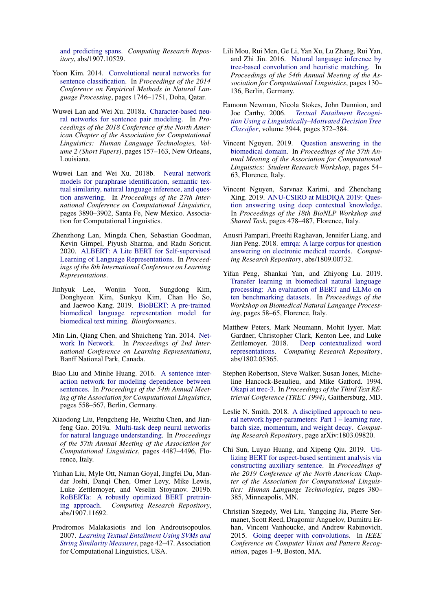[and predicting spans.](http://arxiv.org/abs/1907.10529) *Computing Research Repository*, abs/1907.10529.

- <span id="page-9-6"></span>Yoon Kim. 2014. [Convolutional neural networks for](https://doi.org/10.3115/v1/D14-1181) [sentence classification.](https://doi.org/10.3115/v1/D14-1181) In *Proceedings of the 2014 Conference on Empirical Methods in Natural Language Processing*, pages 1746–1751, Doha, Qatar.
- <span id="page-9-9"></span>Wuwei Lan and Wei Xu. 2018a. [Character-based neu](https://doi.org/10.18653/v1/N18-2025)[ral networks for sentence pair modeling.](https://doi.org/10.18653/v1/N18-2025) In *Proceedings of the 2018 Conference of the North American Chapter of the Association for Computational Linguistics: Human Language Technologies, Volume 2 (Short Papers)*, pages 157–163, New Orleans, Louisiana.
- <span id="page-9-10"></span>Wuwei Lan and Wei Xu. 2018b. [Neural network](https://www.aclweb.org/anthology/C18-1328) [models for paraphrase identification, semantic tex](https://www.aclweb.org/anthology/C18-1328)[tual similarity, natural language inference, and ques](https://www.aclweb.org/anthology/C18-1328)[tion answering.](https://www.aclweb.org/anthology/C18-1328) In *Proceedings of the 27th International Conference on Computational Linguistics*, pages 3890–3902, Santa Fe, New Mexico. Association for Computational Linguistics.
- <span id="page-9-2"></span>Zhenzhong Lan, Mingda Chen, Sebastian Goodman, Kevin Gimpel, Piyush Sharma, and Radu Soricut. 2020. [ALBERT: A Lite BERT for Self-supervised](https://arxiv.org/pdf/1909.11942) [Learning of Language Representations.](https://arxiv.org/pdf/1909.11942) In *Proceedings of the 8th International Conference on Learning Representations*.
- <span id="page-9-3"></span>Jinhyuk Lee, Wonjin Yoon, Sungdong Kim, Donghyeon Kim, Sunkyu Kim, Chan Ho So, and Jaewoo Kang. 2019. [BioBERT: A pre-trained](https://doi.org/10.1093/bioinformatics/btz682) [biomedical language representation model for](https://doi.org/10.1093/bioinformatics/btz682) [biomedical text mining.](https://doi.org/10.1093/bioinformatics/btz682) *Bioinformatics*.
- <span id="page-9-14"></span>Min Lin, Qiang Chen, and Shuicheng Yan. 2014. [Net](https://arxiv.org/pdf/1312.4400)[work In Network.](https://arxiv.org/pdf/1312.4400) In *Proceedings of 2nd International Conference on Learning Representations*, Banff National Park, Canada.
- <span id="page-9-8"></span>Biao Liu and Minlie Huang. 2016. [A sentence inter](https://doi.org/10.18653/v1/P16-1053)[action network for modeling dependence between](https://doi.org/10.18653/v1/P16-1053) [sentences.](https://doi.org/10.18653/v1/P16-1053) In *Proceedings of the 54th Annual Meeting of the Association for Computational Linguistics*, pages 558–567, Berlin, Germany.
- <span id="page-9-11"></span>Xiaodong Liu, Pengcheng He, Weizhu Chen, and Jianfeng Gao. 2019a. [Multi-task deep neural networks](https://www.aclweb.org/anthology/P19-1441) [for natural language understanding.](https://www.aclweb.org/anthology/P19-1441) In *Proceedings of the 57th Annual Meeting of the Association for Computational Linguistics*, pages 4487–4496, Florence, Italy.
- <span id="page-9-1"></span>Yinhan Liu, Myle Ott, Naman Goyal, Jingfei Du, Mandar Joshi, Danqi Chen, Omer Levy, Mike Lewis, Luke Zettlemoyer, and Veselin Stoyanov. 2019b. [RoBERTa: A robustly optimized BERT pretrain](http://arxiv.org/abs/1907.11692)[ing approach.](http://arxiv.org/abs/1907.11692) *Computing Research Repository*, abs/1907.11692.
- <span id="page-9-4"></span>Prodromos Malakasiotis and Ion Androutsopoulos. 2007. *[Learning Textual Entailment Using SVMs and](https://www.aclweb.org/anthology/W07-1407.pdf) [String Similarity Measures](https://www.aclweb.org/anthology/W07-1407.pdf)*, page 42–47. Association for Computational Linguistics, USA.
- <span id="page-9-7"></span>Lili Mou, Rui Men, Ge Li, Yan Xu, Lu Zhang, Rui Yan, and Zhi Jin. 2016. [Natural language inference by](https://doi.org/10.18653/v1/P16-2022) [tree-based convolution and heuristic matching.](https://doi.org/10.18653/v1/P16-2022) In *Proceedings of the 54th Annual Meeting of the Association for Computational Linguistics*, pages 130– 136, Berlin, Germany.
- <span id="page-9-5"></span>Eamonn Newman, Nicola Stokes, John Dunnion, and Joe Carthy. 2006. *[Textual Entailment Recogni](https://doi.org/10.1007/11736790_21)[tion Using a Linguistically–Motivated Decision Tree](https://doi.org/10.1007/11736790_21) [Classifier](https://doi.org/10.1007/11736790_21)*, volume 3944, pages 372–384.
- <span id="page-9-18"></span>Vincent Nguyen. 2019. [Question answering in the](https://doi.org/10.18653/v1/P19-2008) [biomedical domain.](https://doi.org/10.18653/v1/P19-2008) In *Proceedings of the 57th Annual Meeting of the Association for Computational Linguistics: Student Research Workshop*, pages 54– 63, Florence, Italy.
- <span id="page-9-20"></span>Vincent Nguyen, Sarvnaz Karimi, and Zhenchang Xing. 2019. [ANU-CSIRO at MEDIQA 2019: Ques](https://doi.org/10.18653/v1/W19-5051)[tion answering using deep contextual knowledge.](https://doi.org/10.18653/v1/W19-5051) In *Proceedings of the 18th BioNLP Workshop and Shared Task*, pages 478–487, Florence, Italy.
- <span id="page-9-17"></span>Anusri Pampari, Preethi Raghavan, Jennifer Liang, and Jian Peng. 2018. [emrqa: A large corpus for question](http://arxiv.org/abs/1809.00732) [answering on electronic medical records.](http://arxiv.org/abs/1809.00732) *Computing Research Repository*, abs/1809.00732.
- <span id="page-9-12"></span>Yifan Peng, Shankai Yan, and Zhiyong Lu. 2019. [Transfer learning in biomedical natural language](https://arxiv.org/pdf/1906.05474) [processing: An evaluation of BERT and ELMo on](https://arxiv.org/pdf/1906.05474) [ten benchmarking datasets.](https://arxiv.org/pdf/1906.05474) In *Proceedings of the Workshop on Biomedical Natural Language Processing*, pages 58–65, Florence, Italy.
- <span id="page-9-16"></span>Matthew Peters, Mark Neumann, Mohit Iyyer, Matt Gardner, Christopher Clark, Kenton Lee, and Luke Zettlemoyer. 2018. [Deep contextualized word](http://arxiv.org/abs/1802.05365) [representations.](http://arxiv.org/abs/1802.05365) *Computing Research Repository*, abs/1802.05365.
- <span id="page-9-19"></span>Stephen Robertson, Steve Walker, Susan Jones, Micheline Hancock-Beaulieu, and Mike Gatford. 1994. [Okapi at trec-3.](https://www.microsoft.com/en-us/research/publication/okapi-at-trec-3/) In *Proceedings of the Third Text REtrieval Conference (TREC 1994)*, Gaithersburg, MD.
- <span id="page-9-15"></span>Leslie N. Smith. 2018. [A disciplined approach to neu](http://arxiv.org/abs/1803.09820)[ral network hyper-parameters: Part 1 – learning rate,](http://arxiv.org/abs/1803.09820) [batch size, momentum, and weight decay.](http://arxiv.org/abs/1803.09820) *Computing Research Repository*, page arXiv:1803.09820.
- <span id="page-9-0"></span>Chi Sun, Luyao Huang, and Xipeng Qiu. 2019. [Uti](https://doi.org/10.18653/v1/N19-1035)[lizing BERT for aspect-based sentiment analysis via](https://doi.org/10.18653/v1/N19-1035) [constructing auxiliary sentence.](https://doi.org/10.18653/v1/N19-1035) In *Proceedings of the 2019 Conference of the North American Chapter of the Association for Computational Linguistics: Human Language Technologies*, pages 380– 385, Minneapolis, MN.
- <span id="page-9-13"></span>Christian Szegedy, Wei Liu, Yangqing Jia, Pierre Sermanet, Scott Reed, Dragomir Anguelov, Dumitru Erhan, Vincent Vanhoucke, and Andrew Rabinovich. 2015. [Going deeper with convolutions.](https://doi.org/10.1109/CVPR.2015.7298594) In *IEEE Conference on Computer Vision and Pattern Recognition*, pages 1–9, Boston, MA.